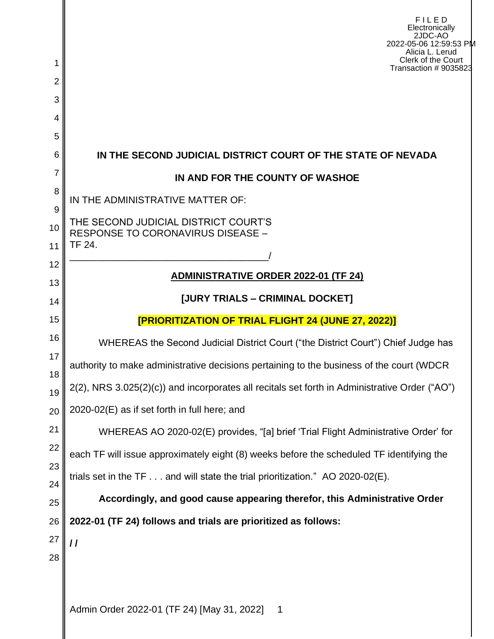| 1        | FILED<br>Electronically<br>2JDC-AO<br>2022-05-06 12:59:53 PM<br>Alicia L. Lerud<br>Clerk of the Court<br>Transaction # 9035823 |  |  |  |  |  |
|----------|--------------------------------------------------------------------------------------------------------------------------------|--|--|--|--|--|
| 2        |                                                                                                                                |  |  |  |  |  |
| 3        |                                                                                                                                |  |  |  |  |  |
| 4        |                                                                                                                                |  |  |  |  |  |
| 5<br>6   | IN THE SECOND JUDICIAL DISTRICT COURT OF THE STATE OF NEVADA                                                                   |  |  |  |  |  |
| 7        | IN AND FOR THE COUNTY OF WASHOE                                                                                                |  |  |  |  |  |
| 8        | IN THE ADMINISTRATIVE MATTER OF:                                                                                               |  |  |  |  |  |
| 9        |                                                                                                                                |  |  |  |  |  |
| 10       | THE SECOND JUDICIAL DISTRICT COURT'S<br>RESPONSE TO CORONAVIRUS DISEASE -                                                      |  |  |  |  |  |
| 11       | TF 24.                                                                                                                         |  |  |  |  |  |
| 12<br>13 | <b>ADMINISTRATIVE ORDER 2022-01 (TF 24)</b>                                                                                    |  |  |  |  |  |
| 14       | [JURY TRIALS - CRIMINAL DOCKET]                                                                                                |  |  |  |  |  |
| 15       | [PRIORITIZATION OF TRIAL FLIGHT 24 (JUNE 27, 2022)]                                                                            |  |  |  |  |  |
| 16       | WHEREAS the Second Judicial District Court ("the District Court") Chief Judge has                                              |  |  |  |  |  |
| 17       | authority to make administrative decisions pertaining to the business of the court (WDCR                                       |  |  |  |  |  |
| 18       | 2(2), NRS 3.025(2)(c)) and incorporates all recitals set forth in Administrative Order ("AO")                                  |  |  |  |  |  |
| 19<br>20 | 2020-02(E) as if set forth in full here; and                                                                                   |  |  |  |  |  |
| 21       | WHEREAS AO 2020-02(E) provides, "[a] brief 'Trial Flight Administrative Order' for                                             |  |  |  |  |  |
| 22       | each TF will issue approximately eight (8) weeks before the scheduled TF identifying the                                       |  |  |  |  |  |
| 23       | trials set in the $TF \dots$ and will state the trial prioritization." AO 2020-02(E).                                          |  |  |  |  |  |
| 24       | Accordingly, and good cause appearing therefor, this Administrative Order                                                      |  |  |  |  |  |
| 25       |                                                                                                                                |  |  |  |  |  |
| 26<br>27 | 2022-01 (TF 24) follows and trials are prioritized as follows:                                                                 |  |  |  |  |  |
| 28       | $\prime$                                                                                                                       |  |  |  |  |  |
|          |                                                                                                                                |  |  |  |  |  |
|          | Admin Order 2022-01 (TF 24) [May 31, 2022]<br>$\overline{\mathbf{1}}$                                                          |  |  |  |  |  |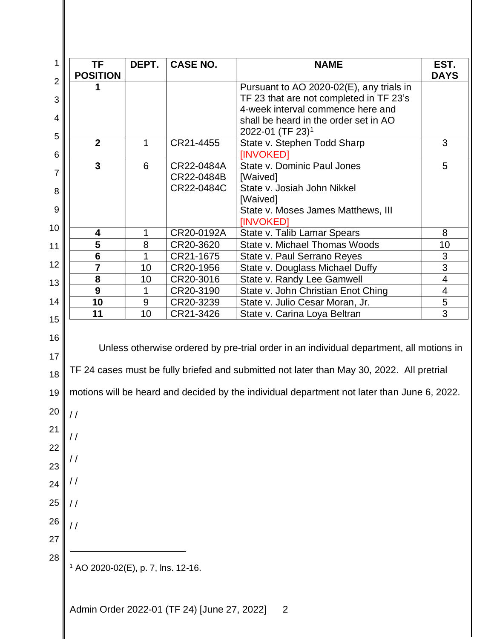| <b>POSITION</b>                                                                             | DEPT.                | <b>CASE NO.</b> | <b>NAME</b>                              | EST.<br><b>DAYS</b>     |  |
|---------------------------------------------------------------------------------------------|----------------------|-----------------|------------------------------------------|-------------------------|--|
|                                                                                             |                      |                 | Pursuant to AO 2020-02(E), any trials in |                         |  |
|                                                                                             |                      |                 | TF 23 that are not completed in TF 23's  |                         |  |
|                                                                                             |                      |                 | 4-week interval commence here and        |                         |  |
|                                                                                             |                      |                 | shall be heard in the order set in AO    |                         |  |
|                                                                                             |                      |                 | 2022-01 (TF 23) <sup>1</sup>             |                         |  |
| $\overline{2}$                                                                              | 1                    | CR21-4455       | State v. Stephen Todd Sharp<br>[INVOKED] | 3                       |  |
|                                                                                             | 3<br>6<br>CR22-0484A |                 | State v. Dominic Paul Jones              | 5                       |  |
|                                                                                             |                      | CR22-0484B      | [Waived]                                 |                         |  |
|                                                                                             |                      | CR22-0484C      | State v. Josiah John Nikkel<br>[Waived]  |                         |  |
|                                                                                             |                      |                 | State v. Moses James Matthews, III       |                         |  |
|                                                                                             |                      |                 | [INVOKED]                                |                         |  |
| 4                                                                                           | 1                    | CR20-0192A      | State v. Talib Lamar Spears              | 8                       |  |
| 5                                                                                           | 8                    | CR20-3620       | State v. Michael Thomas Woods            | 10                      |  |
| $6\phantom{1}6$                                                                             | 1                    | CR21-1675       | State v. Paul Serrano Reyes              | 3                       |  |
| $\overline{7}$                                                                              | 10                   | CR20-1956       | State v. Douglass Michael Duffy          | $\overline{3}$          |  |
| 8                                                                                           | 10                   | CR20-3016       | State v. Randy Lee Gamwell               | 4                       |  |
| 9                                                                                           | 1                    | CR20-3190       | State v. John Christian Enot Ching       | $\overline{\mathbf{4}}$ |  |
| 10                                                                                          | 9                    | CR20-3239       | State v. Julio Cesar Moran, Jr.          | $\overline{5}$          |  |
| 11                                                                                          | 10                   | CR21-3426       | State v. Carina Loya Beltran             | $\overline{3}$          |  |
| TF 24 cases must be fully briefed and submitted not later than May 30, 2022. All pretrial   |                      |                 |                                          |                         |  |
| motions will be heard and decided by the individual department not later than June 6, 2022. |                      |                 |                                          |                         |  |
|                                                                                             |                      |                 |                                          |                         |  |
| //                                                                                          |                      |                 |                                          |                         |  |
|                                                                                             |                      |                 |                                          |                         |  |
| $\frac{1}{2}$                                                                               |                      |                 |                                          |                         |  |
|                                                                                             |                      |                 |                                          |                         |  |
|                                                                                             |                      |                 |                                          |                         |  |
|                                                                                             |                      |                 |                                          |                         |  |
|                                                                                             |                      |                 |                                          |                         |  |
|                                                                                             |                      |                 |                                          |                         |  |
|                                                                                             |                      |                 |                                          |                         |  |
|                                                                                             |                      |                 |                                          |                         |  |
|                                                                                             |                      |                 |                                          |                         |  |
| $\frac{1}{2}$<br>$\frac{1}{2}$<br><sup>1</sup> AO 2020-02(E), p. 7, lns. 12-16.             |                      |                 |                                          |                         |  |